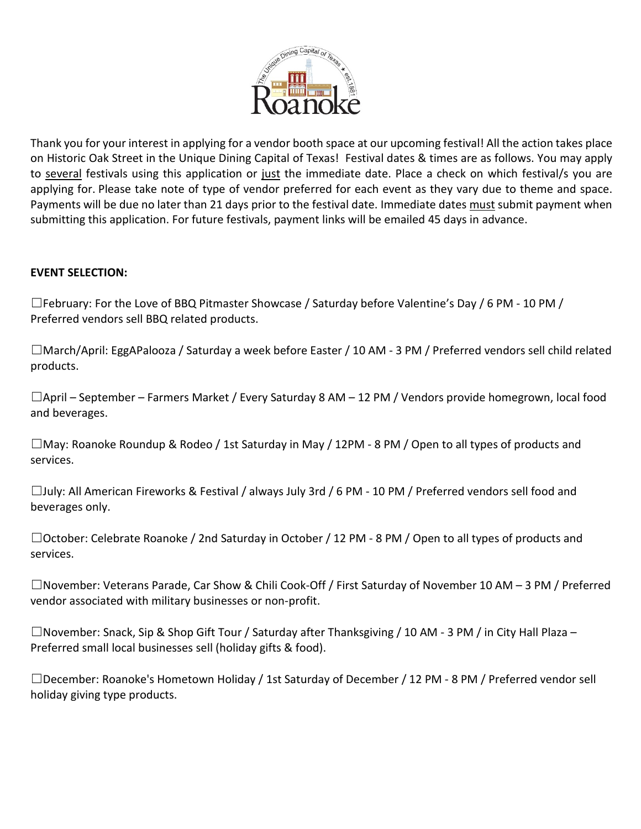

Thank you for your interest in applying for a vendor booth space at our upcoming festival! All the action takes place on Historic Oak Street in the Unique Dining Capital of Texas! Festival dates & times are as follows. You may apply to several festivals using this application or just the immediate date. Place a check on which festival/s you are applying for. Please take note of type of vendor preferred for each event as they vary due to theme and space. Payments will be due no later than 21 days prior to the festival date. Immediate dates must submit payment when submitting this application. For future festivals, payment links will be emailed 45 days in advance.

#### **EVENT SELECTION:**

 $\Box$ February: For the Love of BBQ Pitmaster Showcase / Saturday before Valentine's Day / 6 PM - 10 PM / Preferred vendors sell BBQ related products.

☐March/April: EggAPalooza / Saturday a week before Easter / 10 AM - 3 PM / Preferred vendors sell child related products.

☐April – September – Farmers Market / Every Saturday 8 AM – 12 PM / Vendors provide homegrown, local food and beverages.

 $\square$ May: Roanoke Roundup & Rodeo / 1st Saturday in May / 12PM - 8 PM / Open to all types of products and services.

☐July: All American Fireworks & Festival / always July 3rd / 6 PM - 10 PM / Preferred vendors sell food and beverages only.

☐October: Celebrate Roanoke / 2nd Saturday in October / 12 PM - 8 PM / Open to all types of products and services.

☐November: Veterans Parade, Car Show & Chili Cook-Off / First Saturday of November 10 AM – 3 PM / Preferred vendor associated with military businesses or non-profit.

 $\square$ November: Snack, Sip & Shop Gift Tour / Saturday after Thanksgiving / 10 AM - 3 PM / in City Hall Plaza – Preferred small local businesses sell (holiday gifts & food).

☐December: Roanoke's Hometown Holiday / 1st Saturday of December / 12 PM - 8 PM / Preferred vendor sell holiday giving type products.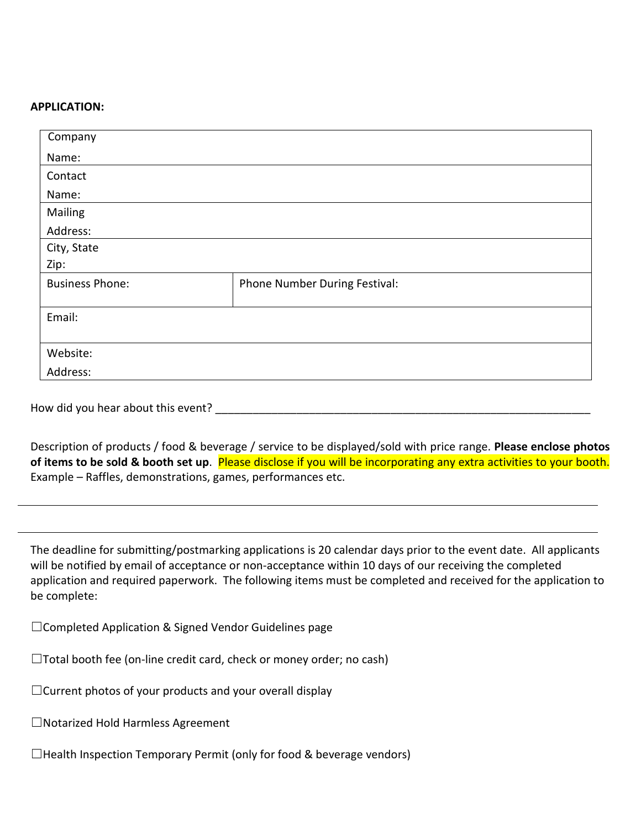#### **APPLICATION:**

| Company                |                               |
|------------------------|-------------------------------|
| Name:                  |                               |
| Contact                |                               |
| Name:                  |                               |
| Mailing                |                               |
| Address:               |                               |
| City, State            |                               |
| Zip:                   |                               |
| <b>Business Phone:</b> | Phone Number During Festival: |
|                        |                               |
| Email:                 |                               |
|                        |                               |
| Website:               |                               |
| Address:               |                               |

How did you hear about this event?

Description of products / food & beverage / service to be displayed/sold with price range. **Please enclose photos of items to be sold & booth set up**. Please disclose if you will be incorporating any extra activities to your booth. Example – Raffles, demonstrations, games, performances etc.

The deadline for submitting/postmarking applications is 20 calendar days prior to the event date. All applicants will be notified by email of acceptance or non-acceptance within 10 days of our receiving the completed application and required paperwork. The following items must be completed and received for the application to be complete:

☐Completed Application & Signed Vendor Guidelines page

 $\Box$ Total booth fee (on-line credit card, check or money order; no cash)

☐Current photos of your products and your overall display

☐Notarized Hold Harmless Agreement

 $\Box$ Health Inspection Temporary Permit (only for food & beverage vendors)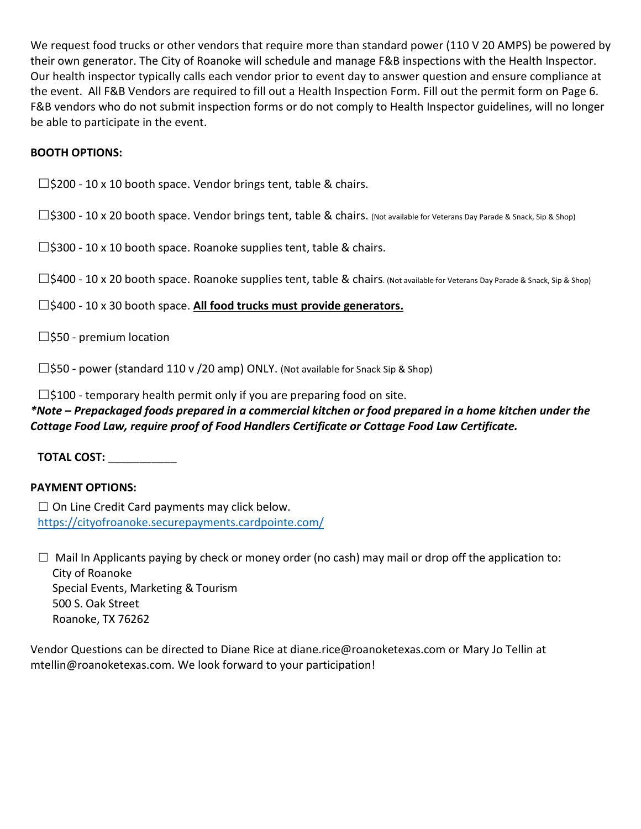We request food trucks or other vendors that require more than standard power (110 V 20 AMPS) be powered by their own generator. The City of Roanoke will schedule and manage F&B inspections with the Health Inspector. Our health inspector typically calls each vendor prior to event day to answer question and ensure compliance at the event. All F&B Vendors are required to fill out a Health Inspection Form. Fill out the permit form on Page 6. F&B vendors who do not submit inspection forms or do not comply to Health Inspector guidelines, will no longer be able to participate in the event.

### **BOOTH OPTIONS:**

 $\square$ \$200 - 10 x 10 booth space. Vendor brings tent, table & chairs.

□\$300 - 10 x 20 booth space. Vendor brings tent, table & chairs. (Not available for Veterans Day Parade & Snack, Sip & Shop)

 $\square$ \$300 - 10 x 10 booth space. Roanoke supplies tent, table & chairs.

□\$400 - 10 x 20 booth space. Roanoke supplies tent, table & chairs. (Not available for Veterans Day Parade & Snack, Sip & Shop)

☐\$400 - 10 x 30 booth space. **All food trucks must provide generators.**

 $\square$ \$50 - premium location

 $\square$ \$50 - power (standard 110 v /20 amp) ONLY. (Not available for Snack Sip & Shop)

 $\square$ \$100 - temporary health permit only if you are preparing food on site.

### *\*Note – Prepackaged foods prepared in a commercial kitchen or food prepared in a home kitchen under the Cottage Food Law, require proof of Food Handlers Certificate or Cottage Food Law Certificate.*

**TOTAL COST:** \_\_\_\_\_\_\_\_\_\_\_

#### **PAYMENT OPTIONS:**

 $\Box$  On Line Credit Card payments may click below. <https://cityofroanoke.securepayments.cardpointe.com/>

 $\Box$  Mail In Applicants paying by check or money order (no cash) may mail or drop off the application to: City of Roanoke Special Events, Marketing & Tourism 500 S. Oak Street Roanoke, TX 76262

Vendor Questions can be directed to Diane Rice at diane.rice@roanoketexas.com or Mary Jo Tellin at mtellin@roanoketexas.com. We look forward to your participation!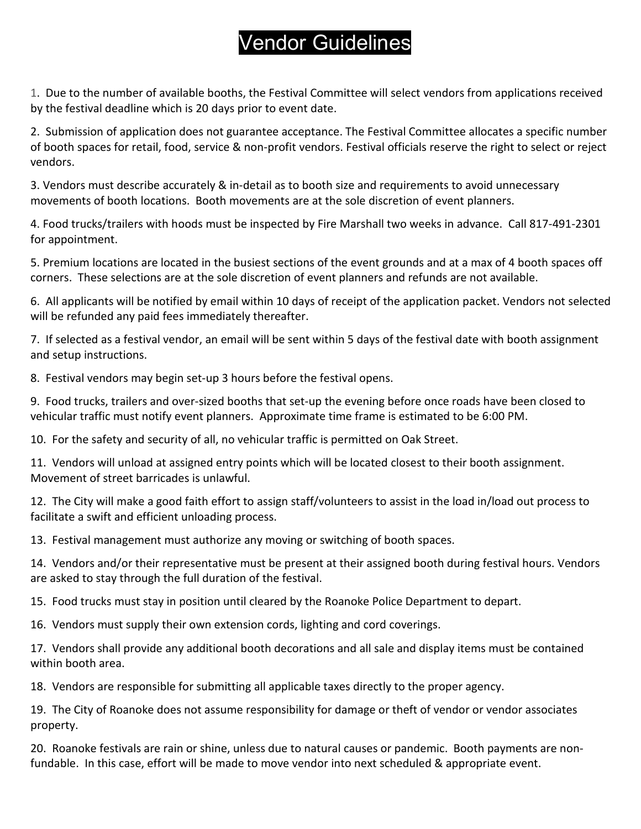## Vendor Guidelines

1. Due to the number of available booths, the Festival Committee will select vendors from applications received by the festival deadline which is 20 days prior to event date.

2. Submission of application does not guarantee acceptance. The Festival Committee allocates a specific number of booth spaces for retail, food, service & non-profit vendors. Festival officials reserve the right to select or reject vendors.

3. Vendors must describe accurately & in-detail as to booth size and requirements to avoid unnecessary movements of booth locations. Booth movements are at the sole discretion of event planners.

4. Food trucks/trailers with hoods must be inspected by Fire Marshall two weeks in advance. Call 817-491-2301 for appointment.

5. Premium locations are located in the busiest sections of the event grounds and at a max of 4 booth spaces off corners. These selections are at the sole discretion of event planners and refunds are not available.

6. All applicants will be notified by email within 10 days of receipt of the application packet. Vendors not selected will be refunded any paid fees immediately thereafter.

7. If selected as a festival vendor, an email will be sent within 5 days of the festival date with booth assignment and setup instructions.

8. Festival vendors may begin set-up 3 hours before the festival opens.

9. Food trucks, trailers and over-sized booths that set-up the evening before once roads have been closed to vehicular traffic must notify event planners. Approximate time frame is estimated to be 6:00 PM.

10. For the safety and security of all, no vehicular traffic is permitted on Oak Street.

11. Vendors will unload at assigned entry points which will be located closest to their booth assignment. Movement of street barricades is unlawful.

12. The City will make a good faith effort to assign staff/volunteers to assist in the load in/load out process to facilitate a swift and efficient unloading process.

13. Festival management must authorize any moving or switching of booth spaces.

14. Vendors and/or their representative must be present at their assigned booth during festival hours. Vendors are asked to stay through the full duration of the festival.

15. Food trucks must stay in position until cleared by the Roanoke Police Department to depart.

16. Vendors must supply their own extension cords, lighting and cord coverings.

17. Vendors shall provide any additional booth decorations and all sale and display items must be contained within booth area.

18. Vendors are responsible for submitting all applicable taxes directly to the proper agency.

19. The City of Roanoke does not assume responsibility for damage or theft of vendor or vendor associates property.

20. Roanoke festivals are rain or shine, unless due to natural causes or pandemic. Booth payments are nonfundable. In this case, effort will be made to move vendor into next scheduled & appropriate event.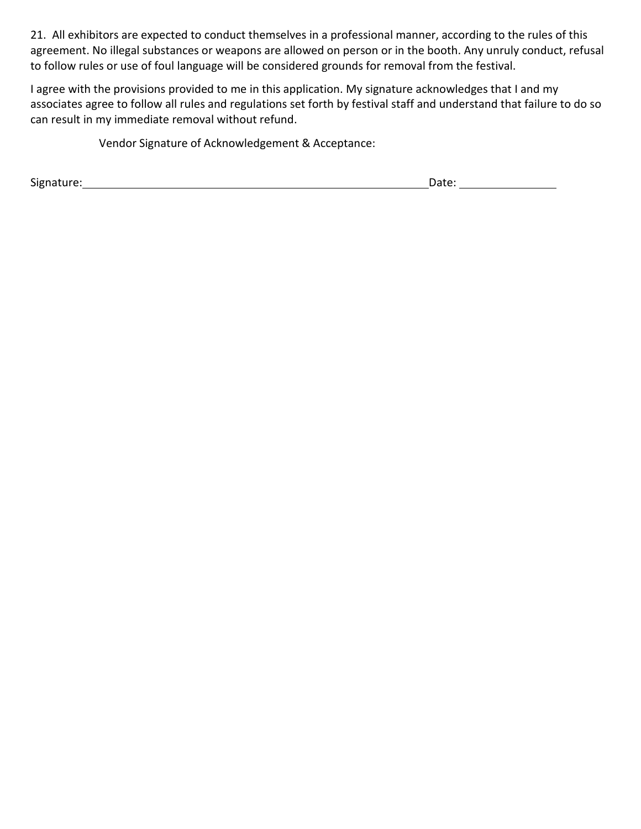21. All exhibitors are expected to conduct themselves in a professional manner, according to the rules of this agreement. No illegal substances or weapons are allowed on person or in the booth. Any unruly conduct, refusal to follow rules or use of foul language will be considered grounds for removal from the festival.

I agree with the provisions provided to me in this application. My signature acknowledges that I and my associates agree to follow all rules and regulations set forth by festival staff and understand that failure to do so can result in my immediate removal without refund.

Vendor Signature of Acknowledgement & Acceptance:

Signature: Date: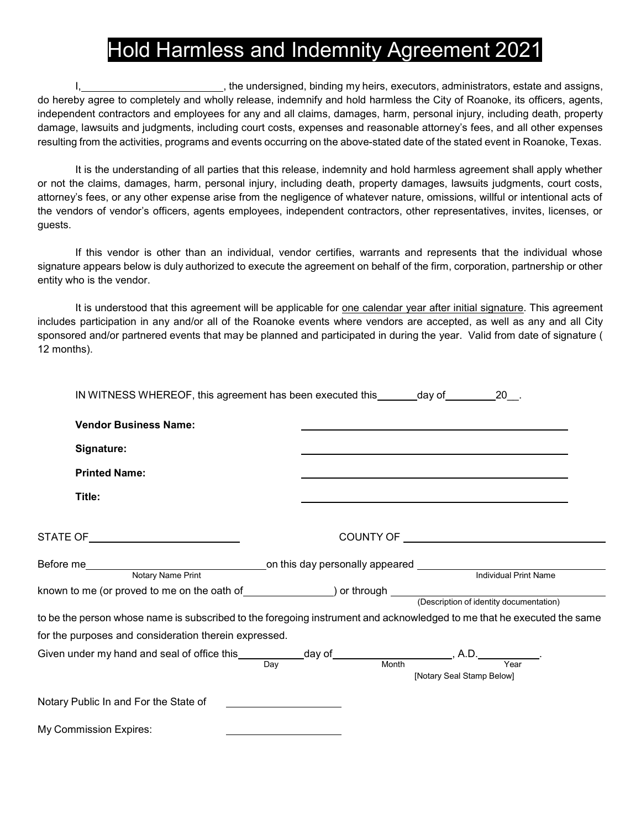## Hold Harmless and Indemnity Agreement 2021

I, the undersigned, binding my heirs, executors, administrators, estate and assigns, do hereby agree to completely and wholly release, indemnify and hold harmless the City of Roanoke, its officers, agents, independent contractors and employees for any and all claims, damages, harm, personal injury, including death, property damage, lawsuits and judgments, including court costs, expenses and reasonable attorney's fees, and all other expenses resulting from the activities, programs and events occurring on the above-stated date of the stated event in Roanoke, Texas.

It is the understanding of all parties that this release, indemnity and hold harmless agreement shall apply whether or not the claims, damages, harm, personal injury, including death, property damages, lawsuits judgments, court costs, attorney's fees, or any other expense arise from the negligence of whatever nature, omissions, willful or intentional acts of the vendors of vendor's officers, agents employees, independent contractors, other representatives, invites, licenses, or guests.

If this vendor is other than an individual, vendor certifies, warrants and represents that the individual whose signature appears below is duly authorized to execute the agreement on behalf of the firm, corporation, partnership or other entity who is the vendor.

It is understood that this agreement will be applicable for one calendar year after initial signature. This agreement includes participation in any and/or all of the Roanoke events where vendors are accepted, as well as any and all City sponsored and/or partnered events that may be planned and participated in during the year. Valid from date of signature ( 12 months).

| IN WITNESS WHEREOF, this agreement has been executed this _______day of _________20__.                                      |                           |
|-----------------------------------------------------------------------------------------------------------------------------|---------------------------|
| <b>Vendor Business Name:</b>                                                                                                |                           |
| Signature:                                                                                                                  |                           |
| <b>Printed Name:</b>                                                                                                        |                           |
| Title:                                                                                                                      |                           |
| STATE OF______________________________                                                                                      |                           |
|                                                                                                                             |                           |
|                                                                                                                             |                           |
| to be the person whose name is subscribed to the foregoing instrument and acknowledged to me that he executed the same      |                           |
| for the purposes and consideration therein expressed.                                                                       |                           |
| Given under my hand and seal of office this ____________day of ______________________, A.D. ____________.<br>Day Month Year | [Notary Seal Stamp Below] |
| Notary Public In and For the State of                                                                                       |                           |
| My Commission Expires:                                                                                                      |                           |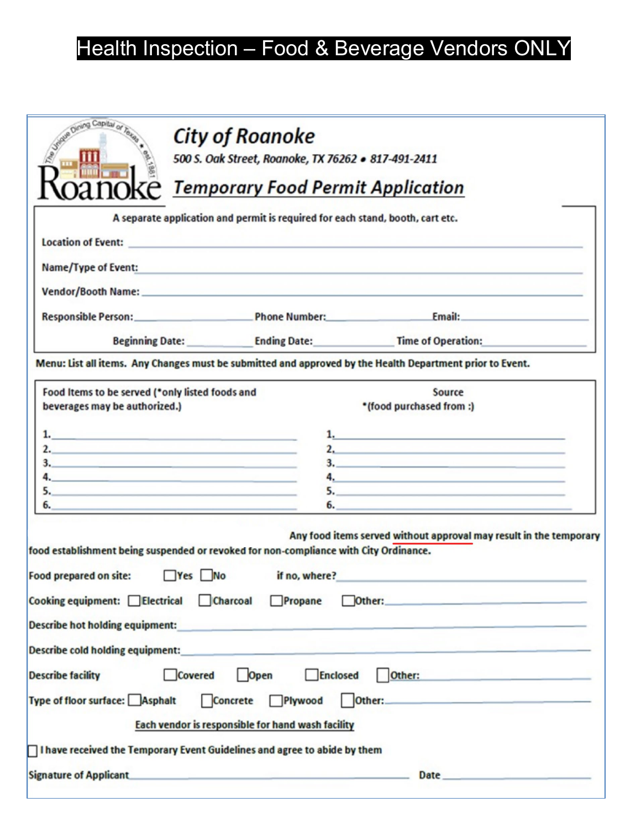# Health Inspection – Food & Beverage Vendors ONLY

| Dining Capital                                                                                                                                                                                                          | <b>City of Roanoke</b><br>500 S. Oak Street, Roanoke, TX 76262 . 817-491-2411<br><b>Temporary Food Permit Application</b>                                                                                                                             |                                                                                                                                                                                                                                                                                                                                                                                               |
|-------------------------------------------------------------------------------------------------------------------------------------------------------------------------------------------------------------------------|-------------------------------------------------------------------------------------------------------------------------------------------------------------------------------------------------------------------------------------------------------|-----------------------------------------------------------------------------------------------------------------------------------------------------------------------------------------------------------------------------------------------------------------------------------------------------------------------------------------------------------------------------------------------|
|                                                                                                                                                                                                                         | A separate application and permit is required for each stand, booth, cart etc.                                                                                                                                                                        |                                                                                                                                                                                                                                                                                                                                                                                               |
| Name/Type of Event:                                                                                                                                                                                                     | <u> San Anggara sa Kabupatèn San Anggara San Anggara sa Kabupatèn San Anggara San Anggara San Anggara San Anggara San Anggara San Anggara San Anggara San Anggara San Anggara San Anggara San Anggara San Anggara San Anggara Sa</u>                  |                                                                                                                                                                                                                                                                                                                                                                                               |
|                                                                                                                                                                                                                         |                                                                                                                                                                                                                                                       |                                                                                                                                                                                                                                                                                                                                                                                               |
|                                                                                                                                                                                                                         |                                                                                                                                                                                                                                                       | Responsible Person: The Phone Number: Email: Email:                                                                                                                                                                                                                                                                                                                                           |
|                                                                                                                                                                                                                         | Beginning Date: Ending Date: Time of Operation:                                                                                                                                                                                                       |                                                                                                                                                                                                                                                                                                                                                                                               |
|                                                                                                                                                                                                                         |                                                                                                                                                                                                                                                       | Menu: List all items. Any Changes must be submitted and approved by the Health Department prior to Event.                                                                                                                                                                                                                                                                                     |
| Food Items to be served (*only listed foods and<br>beverages may be authorized.)<br>1. <u>1. Andrew State Communication</u>                                                                                             |                                                                                                                                                                                                                                                       | Source<br>*(food purchased from :)<br>$1,$ $\ldots$ $\ldots$ $\ldots$ $\ldots$ $\ldots$ $\ldots$ $\ldots$ $\ldots$ $\ldots$ $\ldots$ $\ldots$ $\ldots$ $\ldots$ $\ldots$ $\ldots$ $\ldots$ $\ldots$ $\ldots$ $\ldots$ $\ldots$ $\ldots$ $\ldots$ $\ldots$ $\ldots$ $\ldots$ $\ldots$ $\ldots$ $\ldots$ $\ldots$ $\ldots$ $\ldots$ $\ldots$ $\ldots$ $\ldots$ $\ldots$ $\ldots$                |
| 2.                                                                                                                                                                                                                      |                                                                                                                                                                                                                                                       | 2.                                                                                                                                                                                                                                                                                                                                                                                            |
| $\mathbf{4.}$                                                                                                                                                                                                           |                                                                                                                                                                                                                                                       | 3. <u>2008 - Jan Barnett, ameri</u> kansk politiker († 2008)<br>$\overline{a}$ , and the contract of $\overline{a}$ and $\overline{a}$ and $\overline{a}$ and $\overline{a}$ and $\overline{a}$ and $\overline{a}$ and $\overline{a}$ and $\overline{a}$ and $\overline{a}$ and $\overline{a}$ and $\overline{a}$ and $\overline{a}$ and $\overline{a}$ and $\overline{a}$ and $\overline{a}$ |
| 5.                                                                                                                                                                                                                      |                                                                                                                                                                                                                                                       | 5.                                                                                                                                                                                                                                                                                                                                                                                            |
| the control of the control of the control of the control of the control of the control of the                                                                                                                           |                                                                                                                                                                                                                                                       | 6.                                                                                                                                                                                                                                                                                                                                                                                            |
| food establishment being suspended or revoked for non-compliance with City Ordinance.<br>$Yes$ No<br>Food prepared on site:<br>Cooking equipment: Electrical Charcoal Propane<br><b>Describe hot holding equipment:</b> | if no, where?<br><u> 1989 - Andrea Andrea Andrea Andrea Andrea Andrea Andrea Andrea Andrea Andrea Andrea Andrea Andrea Andrea Andrea Andrea Andrea Andrea Andrea Andrea Andrea Andrea Andrea Andrea Andrea Andrea Andrea Andrea Andrea Andrea And</u> | Any food items served without approval may result in the temporary<br>Other: <b>Communication of the Communication of the Communication</b>                                                                                                                                                                                                                                                   |
| <b>Describe cold holding equipment:</b>                                                                                                                                                                                 |                                                                                                                                                                                                                                                       |                                                                                                                                                                                                                                                                                                                                                                                               |
| Covered<br><b>Describe facility</b>                                                                                                                                                                                     | Open<br>Enclosed                                                                                                                                                                                                                                      | Other: <b>Communication of the Communication of the Communication</b>                                                                                                                                                                                                                                                                                                                         |
| Type of floor surface: Asphalt                                                                                                                                                                                          | Concrete Plywood                                                                                                                                                                                                                                      | Other: <b>Other: Other: Other: Other: Other: Other: Other: Other: Other: Other: Other: Other: Other: Other: Other: Other: Other: Other: Other: Other: Other: Other: Other: Other:</b>                                                                                                                                                                                                         |
|                                                                                                                                                                                                                         | Each vendor is responsible for hand wash facility                                                                                                                                                                                                     |                                                                                                                                                                                                                                                                                                                                                                                               |
| $\Box$ I have received the Temporary Event Guidelines and agree to abide by them                                                                                                                                        |                                                                                                                                                                                                                                                       |                                                                                                                                                                                                                                                                                                                                                                                               |
|                                                                                                                                                                                                                         |                                                                                                                                                                                                                                                       |                                                                                                                                                                                                                                                                                                                                                                                               |
| <b>Signature of Applicant</b>                                                                                                                                                                                           | - 2010 - San Antonio Antonio Antonio Antonio Antonio Antonio Antonio Antonio Antonio Antonio Antonio Antonio A                                                                                                                                        | Date <u>and the second contract of the second contract of the second contract of the second contract of the second</u>                                                                                                                                                                                                                                                                        |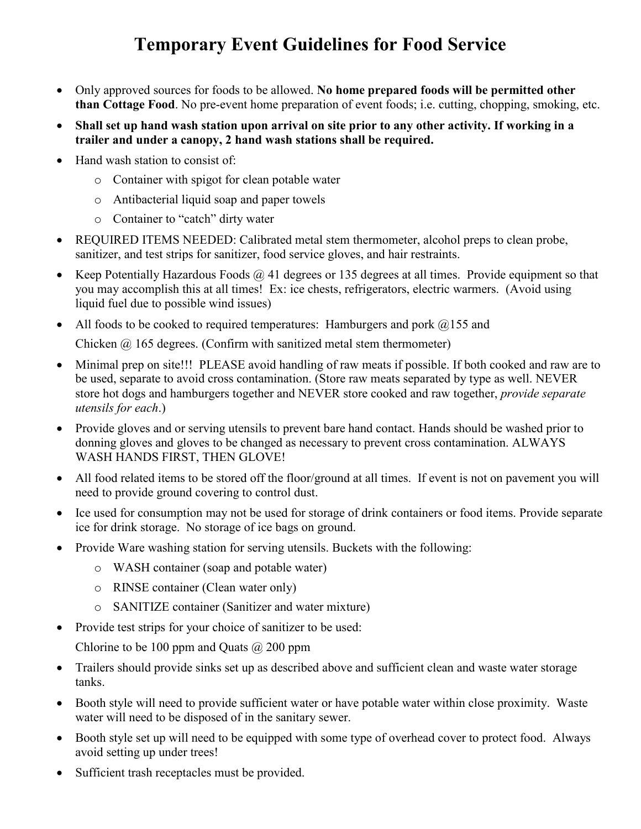### **Temporary Event Guidelines for Food Service**

- Only approved sources for foods to be allowed. **No home prepared foods will be permitted other than Cottage Food**. No pre-event home preparation of event foods; i.e. cutting, chopping, smoking, etc.
- **Shall set up hand wash station upon arrival on site prior to any other activity. If working in a trailer and under a canopy, 2 hand wash stations shall be required.**
- Hand wash station to consist of:
	- o Container with spigot for clean potable water
	- o Antibacterial liquid soap and paper towels
	- o Container to "catch" dirty water
- REQUIRED ITEMS NEEDED: Calibrated metal stem thermometer, alcohol preps to clean probe, sanitizer, and test strips for sanitizer, food service gloves, and hair restraints.
- Keep Potentially Hazardous Foods  $\omega$  41 degrees or 135 degrees at all times. Provide equipment so that you may accomplish this at all times! Ex: ice chests, refrigerators, electric warmers. (Avoid using liquid fuel due to possible wind issues)
- All foods to be cooked to required temperatures: Hamburgers and pork  $@155$  and Chicken  $@$  165 degrees. (Confirm with sanitized metal stem thermometer)
- Minimal prep on site!!! PLEASE avoid handling of raw meats if possible. If both cooked and raw are to be used, separate to avoid cross contamination. (Store raw meats separated by type as well. NEVER store hot dogs and hamburgers together and NEVER store cooked and raw together, *provide separate utensils for each*.)
- Provide gloves and or serving utensils to prevent bare hand contact. Hands should be washed prior to donning gloves and gloves to be changed as necessary to prevent cross contamination. ALWAYS WASH HANDS FIRST, THEN GLOVE!
- All food related items to be stored off the floor/ground at all times. If event is not on pavement you will need to provide ground covering to control dust.
- Ice used for consumption may not be used for storage of drink containers or food items. Provide separate ice for drink storage. No storage of ice bags on ground.
- Provide Ware washing station for serving utensils. Buckets with the following:
	- o WASH container (soap and potable water)
	- o RINSE container (Clean water only)
	- o SANITIZE container (Sanitizer and water mixture)
- Provide test strips for your choice of sanitizer to be used:

Chlorine to be 100 ppm and Quats  $\omega$  200 ppm

- Trailers should provide sinks set up as described above and sufficient clean and waste water storage tanks.
- Booth style will need to provide sufficient water or have potable water within close proximity. Waste water will need to be disposed of in the sanitary sewer.
- Booth style set up will need to be equipped with some type of overhead cover to protect food. Always avoid setting up under trees!
- Sufficient trash receptacles must be provided.